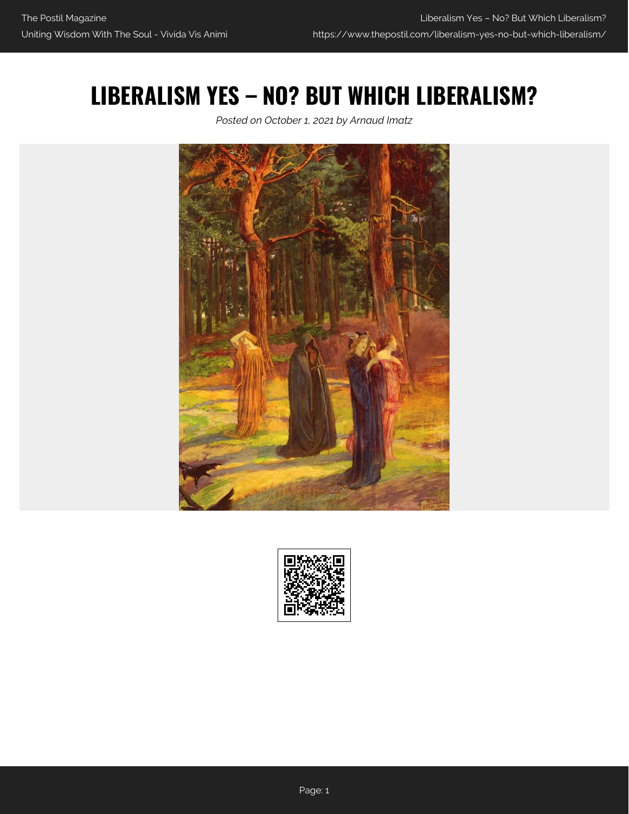## **LIBERALISM YES – NO? BUT WHICH LIBERALISM?**

*Posted on October 1, 2021 by Arnaud Imatz*



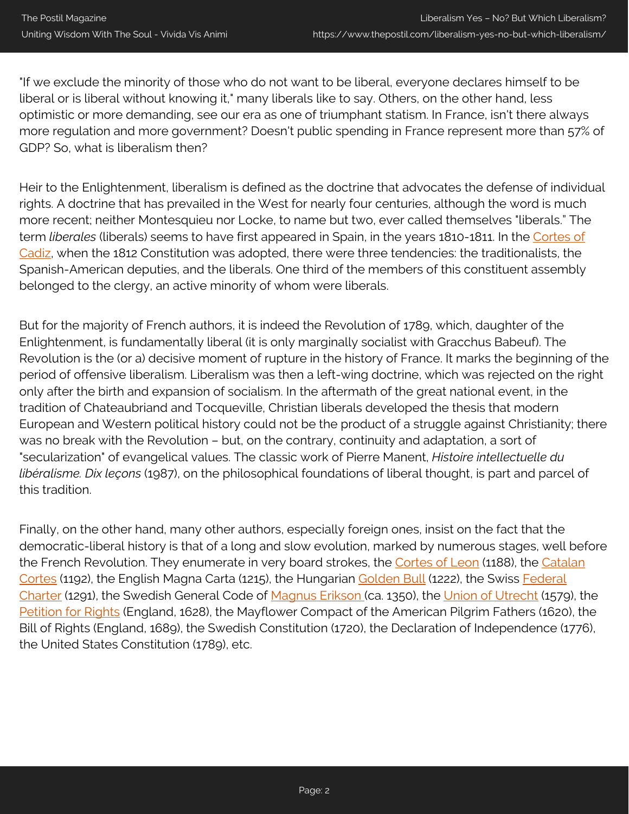"If we exclude the minority of those who do not want to be liberal, everyone declares himself to be liberal or is liberal without knowing it," many liberals like to say. Others, on the other hand, less optimistic or more demanding, see our era as one of triumphant statism. In France, isn't there always more regulation and more government? Doesn't public spending in France represent more than 57% of GDP? So, what is liberalism then?

Heir to the Enlightenment, liberalism is defined as the doctrine that advocates the defense of individual rights. A doctrine that has prevailed in the West for nearly four centuries, although the word is much more recent; neither Montesquieu nor Locke, to name but two, ever called themselves "liberals." The term *liberales* (liberals) seems to have first appeared in Spain, in the years 1810-1811. In the [Cortes of](https://en.wikipedia.org/wiki/Cortes_of_C%C3%A1diz) [Cadiz,](https://en.wikipedia.org/wiki/Cortes_of_C%C3%A1diz) when the 1812 Constitution was adopted, there were three tendencies: the traditionalists, the Spanish-American deputies, and the liberals. One third of the members of this constituent assembly belonged to the clergy, an active minority of whom were liberals.

But for the majority of French authors, it is indeed the Revolution of 1789, which, daughter of the Enlightenment, is fundamentally liberal (it is only marginally socialist with Gracchus Babeuf). The Revolution is the (or a) decisive moment of rupture in the history of France. It marks the beginning of the period of offensive liberalism. Liberalism was then a left-wing doctrine, which was rejected on the right only after the birth and expansion of socialism. In the aftermath of the great national event, in the tradition of Chateaubriand and Tocqueville, Christian liberals developed the thesis that modern European and Western political history could not be the product of a struggle against Christianity; there was no break with the Revolution – but, on the contrary, continuity and adaptation, a sort of "secularization" of evangelical values. The classic work of Pierre Manent, *Histoire intellectuelle du libéralisme. Dix leçons* (1987), on the philosophical foundations of liberal thought, is part and parcel of this tradition.

Finally, on the other hand, many other authors, especially foreign ones, insist on the fact that the democratic-liberal history is that of a long and slow evolution, marked by numerous stages, well before the French Revolution. They enumerate in very board strokes, the [Cortes of Leon](https://en.wikipedia.org/wiki/Cortes_of_Le%C3%B3n_of_1188) (1188), the [Catalan](https://en.wikipedia.org/wiki/Catalan_Courts) [Cortes](https://en.wikipedia.org/wiki/Catalan_Courts) (1192), the English Magna Carta (1215), the Hungarian [Golden Bull](https://en.wikipedia.org/wiki/Golden_Bull_of_1222) (1222), the Swiss [Federal](https://www.admin.ch/gov/en/start/federal-council/history-of-the-federal-council/federal-charter-of-1291.html) [Charter](https://www.admin.ch/gov/en/start/federal-council/history-of-the-federal-council/federal-charter-of-1291.html) (1291), the Swedish General Code of [Magnus Erikson \(](https://en.wikipedia.org/wiki/Magnus_IV_of_Sweden)ca. 1350), the [Union of Utrecht](https://en.wikipedia.org/wiki/Union_of_Utrecht) (1579), the [Petition for Rights](https://en.wikipedia.org/wiki/Petition_of_Right) (England, 1628), the Mayflower Compact of the American Pilgrim Fathers (1620), the Bill of Rights (England, 1689), the Swedish Constitution (1720), the Declaration of Independence (1776), the United States Constitution (1789), etc.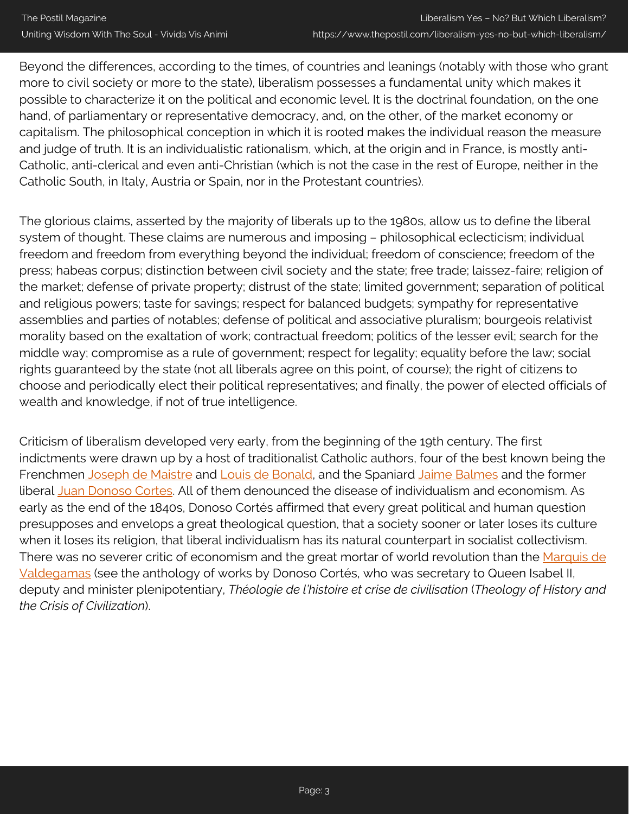Beyond the differences, according to the times, of countries and leanings (notably with those who grant more to civil society or more to the state), liberalism possesses a fundamental unity which makes it possible to characterize it on the political and economic level. It is the doctrinal foundation, on the one hand, of parliamentary or representative democracy, and, on the other, of the market economy or capitalism. The philosophical conception in which it is rooted makes the individual reason the measure and judge of truth. It is an individualistic rationalism, which, at the origin and in France, is mostly anti-Catholic, anti-clerical and even anti-Christian (which is not the case in the rest of Europe, neither in the Catholic South, in Italy, Austria or Spain, nor in the Protestant countries).

The glorious claims, asserted by the majority of liberals up to the 1980s, allow us to define the liberal system of thought. These claims are numerous and imposing – philosophical eclecticism; individual freedom and freedom from everything beyond the individual; freedom of conscience; freedom of the press; habeas corpus; distinction between civil society and the state; free trade; laissez-faire; religion of the market; defense of private property; distrust of the state; limited government; separation of political and religious powers; taste for savings; respect for balanced budgets; sympathy for representative assemblies and parties of notables; defense of political and associative pluralism; bourgeois relativist morality based on the exaltation of work; contractual freedom; politics of the lesser evil; search for the middle way; compromise as a rule of government; respect for legality; equality before the law; social rights guaranteed by the state (not all liberals agree on this point, of course); the right of citizens to choose and periodically elect their political representatives; and finally, the power of elected officials of wealth and knowledge, if not of true intelligence.

Criticism of liberalism developed very early, from the beginning of the 19th century. The first indictments were drawn up by a host of traditionalist Catholic authors, four of the best known being the Frenchmen [Joseph de Maistre](https://en.wikipedia.org/wiki/Joseph_de_Maistre) and [Louis de Bonald](https://en.wikipedia.org/wiki/Louis_de_Bonald), and the Spaniard [Jaime Balmes](https://en.wikipedia.org/wiki/Jaime_Balmes) and the former liberal [Juan Donoso Cortes](https://iep.utm.edu/donoso/). All of them denounced the disease of individualism and economism. As early as the end of the 1840s, Donoso Cortés affirmed that every great political and human question presupposes and envelops a great theological question, that a society sooner or later loses its culture when it loses its religion, that liberal individualism has its natural counterpart in socialist collectivism. There was no severer critic of economism and the great mortar of world revolution than the [Marquis de](https://en.wikipedia.org/wiki/Juan_Donoso_Cort%C3%A9s) [Valdegamas](https://en.wikipedia.org/wiki/Juan_Donoso_Cort%C3%A9s) (see the anthology of works by Donoso Cortés, who was secretary to Queen Isabel II, deputy and minister plenipotentiary, *Théologie de l'histoire et crise de civilisation* (*Theology of History and the Crisis of Civilization*).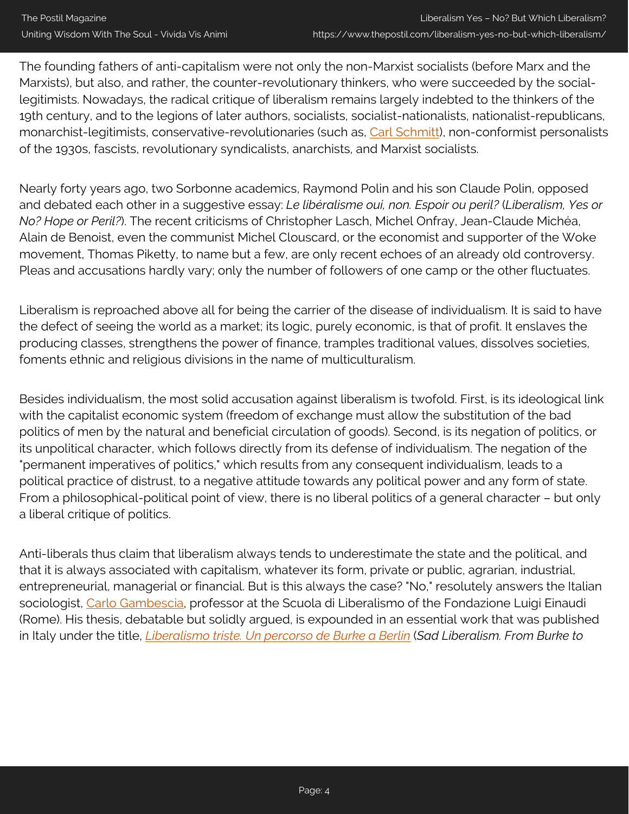The founding fathers of anti-capitalism were not only the non-Marxist socialists (before Marx and the Marxists), but also, and rather, the counter-revolutionary thinkers, who were succeeded by the sociallegitimists. Nowadays, the radical critique of liberalism remains largely indebted to the thinkers of the 19th century, and to the legions of later authors, socialists, socialist-nationalists, nationalist-republicans, monarchist-legitimists, conservative-revolutionaries (such as, [Carl Schmitt\)](https://www.thepostil.com/the-katechon-in-carl-schmitts-philosophy/), non-conformist personalists of the 1930s, fascists, revolutionary syndicalists, anarchists, and Marxist socialists.

Nearly forty years ago, two Sorbonne academics, Raymond Polin and his son Claude Polin, opposed and debated each other in a suggestive essay: *Le libéralisme oui, non. Espoir ou peril?* (*Liberalism, Yes or No? Hope or Peril?*). The recent criticisms of Christopher Lasch, Michel Onfray, Jean-Claude Michéa, Alain de Benoist, even the communist Michel Clouscard, or the economist and supporter of the Woke movement, Thomas Piketty, to name but a few, are only recent echoes of an already old controversy. Pleas and accusations hardly vary; only the number of followers of one camp or the other fluctuates.

Liberalism is reproached above all for being the carrier of the disease of individualism. It is said to have the defect of seeing the world as a market; its logic, purely economic, is that of profit. It enslaves the producing classes, strengthens the power of finance, tramples traditional values, dissolves societies, foments ethnic and religious divisions in the name of multiculturalism.

Besides individualism, the most solid accusation against liberalism is twofold. First, is its ideological link with the capitalist economic system (freedom of exchange must allow the substitution of the bad politics of men by the natural and beneficial circulation of goods). Second, is its negation of politics, or its unpolitical character, which follows directly from its defense of individualism. The negation of the "permanent imperatives of politics," which results from any consequent individualism, leads to a political practice of distrust, to a negative attitude towards any political power and any form of state. From a philosophical-political point of view, there is no liberal politics of a general character – but only a liberal critique of politics.

Anti-liberals thus claim that liberalism always tends to underestimate the state and the political, and that it is always associated with capitalism, whatever its form, private or public, agrarian, industrial, entrepreneurial, managerial or financial. But is this always the case? "No," resolutely answers the Italian sociologist, [Carlo Gambescia,](https://independent.academia.edu/CarloGambescia) professor at the Scuola di Liberalismo of the Fondazione Luigi Einaudi (Rome). His thesis, debatable but solidly argued, is expounded in an essential work that was published in Italy under the title, *[Liberalismo triste. Un percorso de Burke a Berlin](https://www.amazon.com/gp/product/8490550743/ref=as_li_qf_asin_il_tl?ie=UTF8&tag=postil17-20&creative=9325&linkCode=as2&creativeASIN=8490550743&linkId=5e56595d552e2a2697f5d72c95c41578)* (*Sad Liberalism. From Burke to*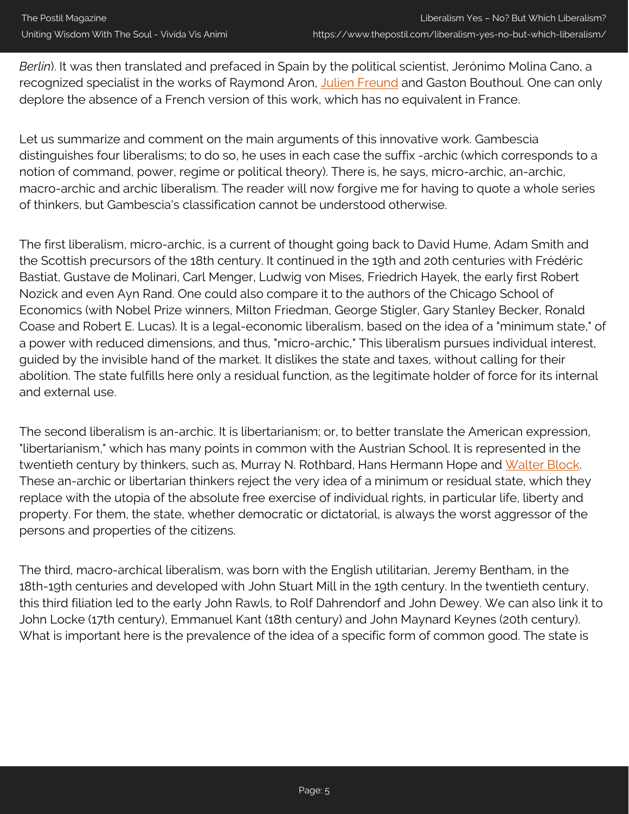*Berlin*). It was then translated and prefaced in Spain by the political scientist, Jerónimo Molina Cano, a recognized specialist in the works of Raymond Aron, [Julien Freund](https://www.thepostil.com/the-fear-of-fear/) and Gaston Bouthoul. One can only deplore the absence of a French version of this work, which has no equivalent in France.

Let us summarize and comment on the main arguments of this innovative work. Gambescia distinguishes four liberalisms; to do so, he uses in each case the suffix -archic (which corresponds to a notion of command, power, regime or political theory). There is, he says, micro-archic, an-archic, macro-archic and archic liberalism. The reader will now forgive me for having to quote a whole series of thinkers, but Gambescia's classification cannot be understood otherwise.

The first liberalism, micro-archic, is a current of thought going back to David Hume, Adam Smith and the Scottish precursors of the 18th century. It continued in the 19th and 20th centuries with Frédéric Bastiat, Gustave de Molinari, Carl Menger, Ludwig von Mises, Friedrich Hayek, the early first Robert Nozick and even Ayn Rand. One could also compare it to the authors of the Chicago School of Economics (with Nobel Prize winners, Milton Friedman, George Stigler, Gary Stanley Becker, Ronald Coase and Robert E. Lucas). It is a legal-economic liberalism, based on the idea of a "minimum state," of a power with reduced dimensions, and thus, "micro-archic," This liberalism pursues individual interest, guided by the invisible hand of the market. It dislikes the state and taxes, without calling for their abolition. The state fulfills here only a residual function, as the legitimate holder of force for its internal and external use.

The second liberalism is an-archic. It is libertarianism; or, to better translate the American expression, "libertarianism," which has many points in common with the Austrian School. It is represented in the twentieth century by thinkers, such as, Murray N. Rothbard, Hans Hermann Hope and [Walter Block](https://www.thepostil.com/author/walter-block/). These an-archic or libertarian thinkers reject the very idea of a minimum or residual state, which they replace with the utopia of the absolute free exercise of individual rights, in particular life, liberty and property. For them, the state, whether democratic or dictatorial, is always the worst aggressor of the persons and properties of the citizens.

The third, macro-archical liberalism, was born with the English utilitarian, Jeremy Bentham, in the 18th-19th centuries and developed with John Stuart Mill in the 19th century. In the twentieth century, this third filiation led to the early John Rawls, to Rolf Dahrendorf and John Dewey. We can also link it to John Locke (17th century), Emmanuel Kant (18th century) and John Maynard Keynes (20th century). What is important here is the prevalence of the idea of a specific form of common good. The state is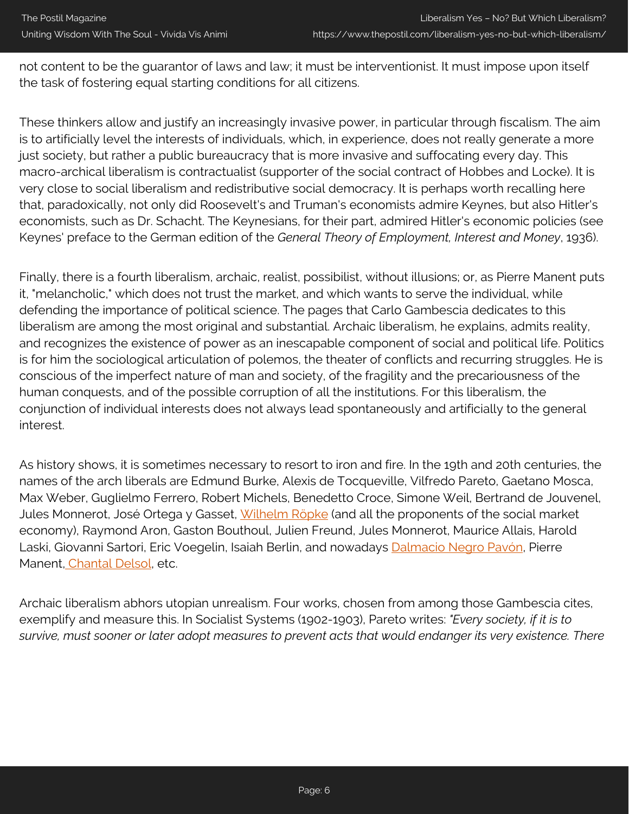not content to be the guarantor of laws and law; it must be interventionist. It must impose upon itself the task of fostering equal starting conditions for all citizens.

These thinkers allow and justify an increasingly invasive power, in particular through fiscalism. The aim is to artificially level the interests of individuals, which, in experience, does not really generate a more just society, but rather a public bureaucracy that is more invasive and suffocating every day. This macro-archical liberalism is contractualist (supporter of the social contract of Hobbes and Locke). It is very close to social liberalism and redistributive social democracy. It is perhaps worth recalling here that, paradoxically, not only did Roosevelt's and Truman's economists admire Keynes, but also Hitler's economists, such as Dr. Schacht. The Keynesians, for their part, admired Hitler's economic policies (see Keynes' preface to the German edition of the *General Theory of Employment, Interest and Money*, 1936).

Finally, there is a fourth liberalism, archaic, realist, possibilist, without illusions; or, as Pierre Manent puts it, "melancholic," which does not trust the market, and which wants to serve the individual, while defending the importance of political science. The pages that Carlo Gambescia dedicates to this liberalism are among the most original and substantial. Archaic liberalism, he explains, admits reality, and recognizes the existence of power as an inescapable component of social and political life. Politics is for him the sociological articulation of polemos, the theater of conflicts and recurring struggles. He is conscious of the imperfect nature of man and society, of the fragility and the precariousness of the human conquests, and of the possible corruption of all the institutions. For this liberalism, the conjunction of individual interests does not always lead spontaneously and artificially to the general interest.

As history shows, it is sometimes necessary to resort to iron and fire. In the 19th and 20th centuries, the names of the arch liberals are Edmund Burke, Alexis de Tocqueville, Vilfredo Pareto, Gaetano Mosca, Max Weber, Guglielmo Ferrero, Robert Michels, Benedetto Croce, Simone Weil, Bertrand de Jouvenel, Jules Monnerot, José Ortega y Gasset, [Wilhelm Röpke](https://www.thepostil.com/wilhelm-ropke-and-the-third-neo-liberal-path/) (and all the proponents of the social market economy), Raymond Aron, Gaston Bouthoul, Julien Freund, Jules Monnerot, Maurice Allais, Harold Laski, Giovanni Sartori, Eric Voegelin, Isaiah Berlin, and nowadays [Dalmacio Negro Pavón](https://www.thepostil.com/what-is-political-realism/), Pierre Manent, [Chantal Delsol](https://www.thepostil.com/listening-to-eastern-europe/), etc.

Archaic liberalism abhors utopian unrealism. Four works, chosen from among those Gambescia cites, exemplify and measure this. In Socialist Systems (1902-1903), Pareto writes: *"Every society, if it is to survive, must sooner or later adopt measures to prevent acts that would endanger its very existence. There*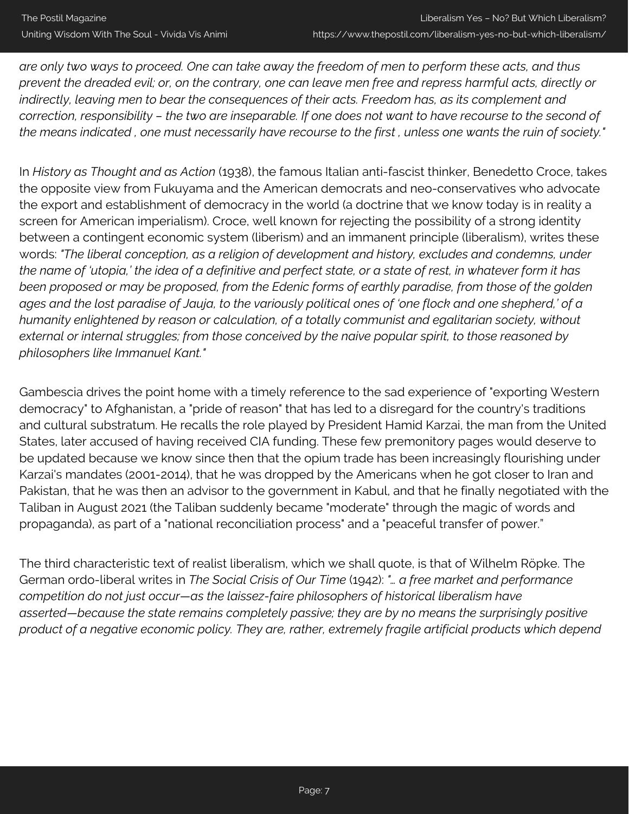*are only two ways to proceed. One can take away the freedom of men to perform these acts, and thus prevent the dreaded evil; or, on the contrary, one can leave men free and repress harmful acts, directly or indirectly, leaving men to bear the consequences of their acts. Freedom has, as its complement and correction, responsibility – the two are inseparable. If one does not want to have recourse to the second of the means indicated , one must necessarily have recourse to the first , unless one wants the ruin of society."*

In *History as Thought and as Action* (1938), the famous Italian anti-fascist thinker, Benedetto Croce, takes the opposite view from Fukuyama and the American democrats and neo-conservatives who advocate the export and establishment of democracy in the world (a doctrine that we know today is in reality a screen for American imperialism). Croce, well known for rejecting the possibility of a strong identity between a contingent economic system (liberism) and an immanent principle (liberalism), writes these words: *"The liberal conception, as a religion of development and history, excludes and condemns, under the name of 'utopia,' the idea of a definitive and perfect state, or a state of rest, in whatever form it has been proposed or may be proposed, from the Edenic forms of earthly paradise, from those of the golden ages and the lost paradise of Jauja, to the variously political ones of 'one flock and one shepherd,' of a humanity enlightened by reason or calculation, of a totally communist and egalitarian society, without external or internal struggles; from those conceived by the naive popular spirit, to those reasoned by philosophers like Immanuel Kant."*

Gambescia drives the point home with a timely reference to the sad experience of "exporting Western democracy" to Afghanistan, a "pride of reason" that has led to a disregard for the country's traditions and cultural substratum. He recalls the role played by President Hamid Karzai, the man from the United States, later accused of having received CIA funding. These few premonitory pages would deserve to be updated because we know since then that the opium trade has been increasingly flourishing under Karzai's mandates (2001-2014), that he was dropped by the Americans when he got closer to Iran and Pakistan, that he was then an advisor to the government in Kabul, and that he finally negotiated with the Taliban in August 2021 (the Taliban suddenly became "moderate" through the magic of words and propaganda), as part of a "national reconciliation process" and a "peaceful transfer of power."

The third characteristic text of realist liberalism, which we shall quote, is that of Wilhelm Röpke. The German ordo-liberal writes in *The Social Crisis of Our Time* (1942): *"… a free market and performance competition do not just occur—as the laissez-faire philosophers of historical liberalism have asserted—because the state remains completely passive; they are by no means the surprisingly positive product of a negative economic policy. They are, rather, extremely fragile artificial products which depend*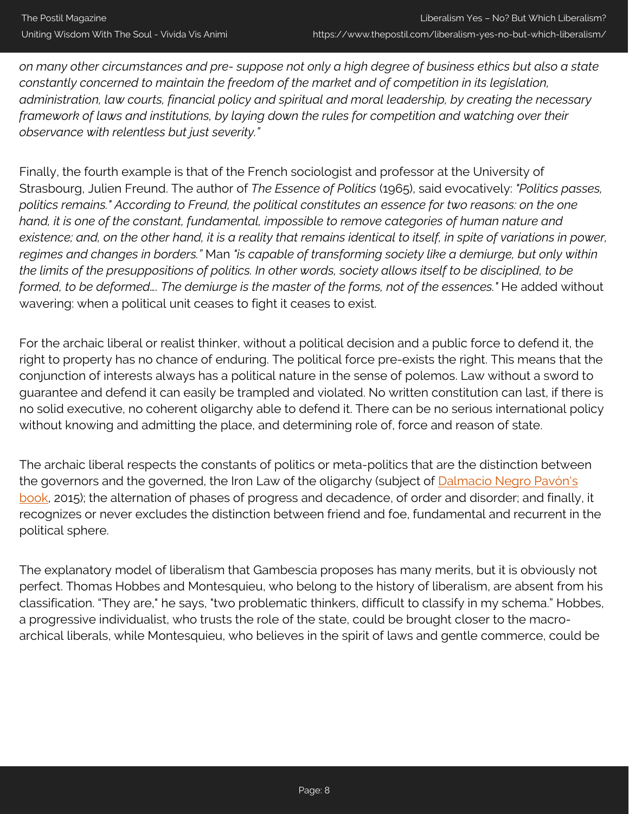*on many other circumstances and pre- suppose not only a high degree of business ethics but also a state constantly concerned to maintain the freedom of the market and of competition in its legislation, administration, law courts, financial policy and spiritual and moral leadership, by creating the necessary framework of laws and institutions, by laying down the rules for competition and watching over their observance with relentless but just severity."*

Finally, the fourth example is that of the French sociologist and professor at the University of Strasbourg, Julien Freund. The author of *The Essence of Politics* (1965), said evocatively: *"Politics passes, politics remains." According to Freund, the political constitutes an essence for two reasons: on the one hand, it is one of the constant, fundamental, impossible to remove categories of human nature and existence; and, on the other hand, it is a reality that remains identical to itself, in spite of variations in power, regimes and changes in borders."* Man *"is capable of transforming society like a demiurge, but only within the limits of the presuppositions of politics. In other words, society allows itself to be disciplined, to be formed, to be deformed…. The demiurge is the master of the forms, not of the essences."* He added without wavering: when a political unit ceases to fight it ceases to exist.

For the archaic liberal or realist thinker, without a political decision and a public force to defend it, the right to property has no chance of enduring. The political force pre-exists the right. This means that the conjunction of interests always has a political nature in the sense of polemos. Law without a sword to guarantee and defend it can easily be trampled and violated. No written constitution can last, if there is no solid executive, no coherent oligarchy able to defend it. There can be no serious international policy without knowing and admitting the place, and determining role of, force and reason of state.

The archaic liberal respects the constants of politics or meta-politics that are the distinction between the governors and the governed, the Iron Law of the oligarchy (subject of [Dalmacio Negro Pavón's](https://www.amazon.com/gp/product/B07YZPTTVD/ref=as_li_qf_asin_il_tl?ie=UTF8&tag=postil17-20&creative=9325&linkCode=as2&creativeASIN=B07YZPTTVD&linkId=c2ecdf7efd54b6649bc6dbbdd064d241) [book,](https://www.amazon.com/gp/product/B07YZPTTVD/ref=as_li_qf_asin_il_tl?ie=UTF8&tag=postil17-20&creative=9325&linkCode=as2&creativeASIN=B07YZPTTVD&linkId=c2ecdf7efd54b6649bc6dbbdd064d241) 2015); the alternation of phases of progress and decadence, of order and disorder; and finally, it recognizes or never excludes the distinction between friend and foe, fundamental and recurrent in the political sphere.

The explanatory model of liberalism that Gambescia proposes has many merits, but it is obviously not perfect. Thomas Hobbes and Montesquieu, who belong to the history of liberalism, are absent from his classification. "They are," he says, "two problematic thinkers, difficult to classify in my schema." Hobbes, a progressive individualist, who trusts the role of the state, could be brought closer to the macroarchical liberals, while Montesquieu, who believes in the spirit of laws and gentle commerce, could be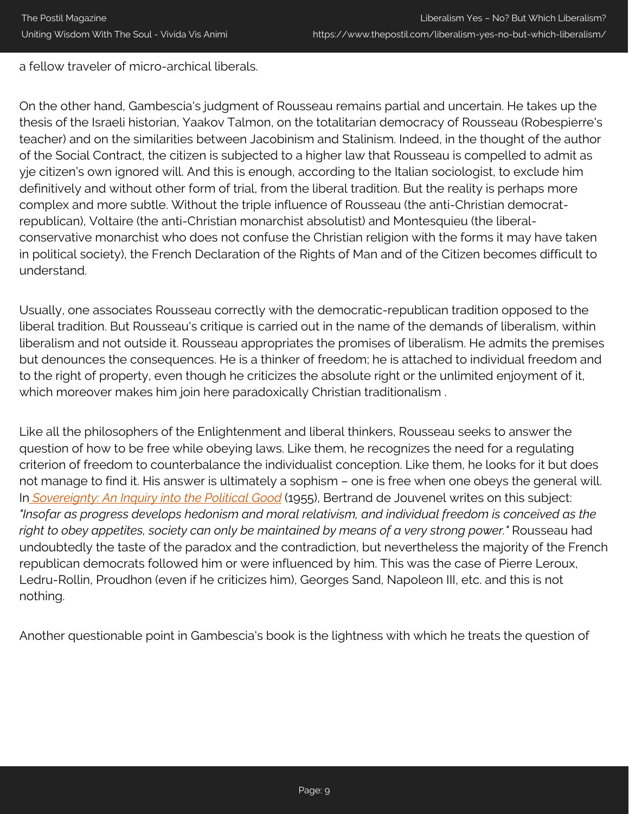a fellow traveler of micro-archical liberals.

On the other hand, Gambescia's judgment of Rousseau remains partial and uncertain. He takes up the thesis of the Israeli historian, Yaakov Talmon, on the totalitarian democracy of Rousseau (Robespierre's teacher) and on the similarities between Jacobinism and Stalinism. Indeed, in the thought of the author of the Social Contract, the citizen is subjected to a higher law that Rousseau is compelled to admit as yje citizen's own ignored will. And this is enough, according to the Italian sociologist, to exclude him definitively and without other form of trial, from the liberal tradition. But the reality is perhaps more complex and more subtle. Without the triple influence of Rousseau (the anti-Christian democratrepublican), Voltaire (the anti-Christian monarchist absolutist) and Montesquieu (the liberalconservative monarchist who does not confuse the Christian religion with the forms it may have taken in political society), the French Declaration of the Rights of Man and of the Citizen becomes difficult to understand.

Usually, one associates Rousseau correctly with the democratic-republican tradition opposed to the liberal tradition. But Rousseau's critique is carried out in the name of the demands of liberalism, within liberalism and not outside it. Rousseau appropriates the promises of liberalism. He admits the premises but denounces the consequences. He is a thinker of freedom; he is attached to individual freedom and to the right of property, even though he criticizes the absolute right or the unlimited enjoyment of it, which moreover makes him join here paradoxically Christian traditionalism .

Like all the philosophers of the Enlightenment and liberal thinkers, Rousseau seeks to answer the question of how to be free while obeying laws. Like them, he recognizes the need for a regulating criterion of freedom to counterbalance the individualist conception. Like them, he looks for it but does not manage to find it. His answer is ultimately a sophism – one is free when one obeys the general will. In *[Sovereignty: An Inquiry into the Political Good](https://www.amazon.com/gp/product/0865971730/ref=as_li_qf_asin_il_tl?ie=UTF8&tag=postil17-20&creative=9325&linkCode=as2&creativeASIN=0865971730&linkId=dbe1c7de586dfe40d49200dfcfd1a781)* (1955), Bertrand de Jouvenel writes on this subject: *"Insofar as progress develops hedonism and moral relativism, and individual freedom is conceived as the right to obey appetites, society can only be maintained by means of a very strong power."* Rousseau had undoubtedly the taste of the paradox and the contradiction, but nevertheless the majority of the French republican democrats followed him or were influenced by him. This was the case of Pierre Leroux, Ledru-Rollin, Proudhon (even if he criticizes him), Georges Sand, Napoleon III, etc. and this is not nothing.

Another questionable point in Gambescia's book is the lightness with which he treats the question of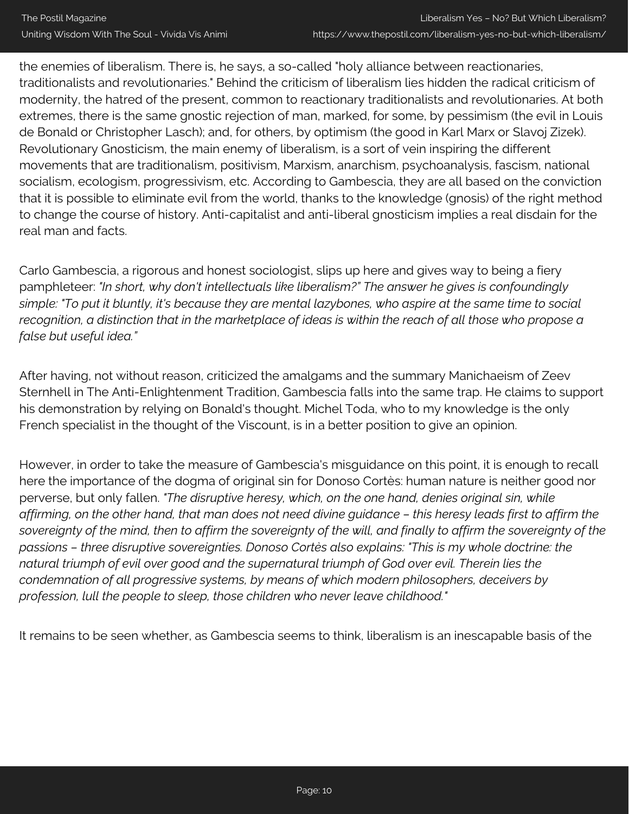the enemies of liberalism. There is, he says, a so-called "holy alliance between reactionaries, traditionalists and revolutionaries." Behind the criticism of liberalism lies hidden the radical criticism of modernity, the hatred of the present, common to reactionary traditionalists and revolutionaries. At both extremes, there is the same gnostic rejection of man, marked, for some, by pessimism (the evil in Louis de Bonald or Christopher Lasch); and, for others, by optimism (the good in Karl Marx or Slavoj Zizek). Revolutionary Gnosticism, the main enemy of liberalism, is a sort of vein inspiring the different movements that are traditionalism, positivism, Marxism, anarchism, psychoanalysis, fascism, national socialism, ecologism, progressivism, etc. According to Gambescia, they are all based on the conviction that it is possible to eliminate evil from the world, thanks to the knowledge (gnosis) of the right method to change the course of history. Anti-capitalist and anti-liberal gnosticism implies a real disdain for the real man and facts.

Carlo Gambescia, a rigorous and honest sociologist, slips up here and gives way to being a fiery pamphleteer: *"In short, why don't intellectuals like liberalism?" The answer he gives is confoundingly simple: "To put it bluntly, it's because they are mental lazybones, who aspire at the same time to social recognition, a distinction that in the marketplace of ideas is within the reach of all those who propose a false but useful idea."*

After having, not without reason, criticized the amalgams and the summary Manichaeism of Zeev Sternhell in The Anti-Enlightenment Tradition, Gambescia falls into the same trap. He claims to support his demonstration by relying on Bonald's thought. Michel Toda, who to my knowledge is the only French specialist in the thought of the Viscount, is in a better position to give an opinion.

However, in order to take the measure of Gambescia's misguidance on this point, it is enough to recall here the importance of the dogma of original sin for Donoso Cortès: human nature is neither good nor perverse, but only fallen. *"The disruptive heresy, which, on the one hand, denies original sin, while affirming, on the other hand, that man does not need divine guidance – this heresy leads first to affirm the sovereignty of the mind, then to affirm the sovereignty of the will, and finally to affirm the sovereignty of the passions – three disruptive sovereignties. Donoso Cortès also explains: "This is my whole doctrine: the natural triumph of evil over good and the supernatural triumph of God over evil. Therein lies the condemnation of all progressive systems, by means of which modern philosophers, deceivers by profession, lull the people to sleep, those children who never leave childhood."*

It remains to be seen whether, as Gambescia seems to think, liberalism is an inescapable basis of the